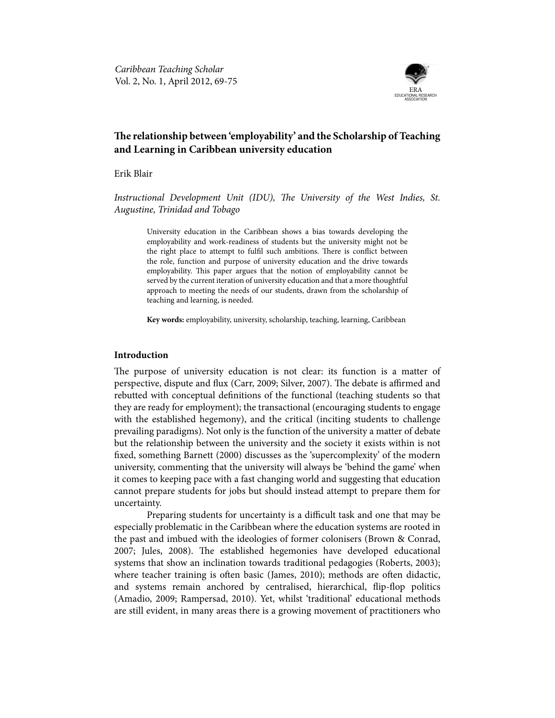

# **The relationship between 'employability' and the Scholarship of Teaching and Learning in Caribbean university education**

Erik Blair

*Instructional Development Unit (IDU), The University of the West Indies, St. Augustine, Trinidad and Tobago*

University education in the Caribbean shows a bias towards developing the employability and work-readiness of students but the university might not be the right place to attempt to fulfil such ambitions. There is conflict between the role, function and purpose of university education and the drive towards employability. This paper argues that the notion of employability cannot be served by the current iteration of university education and that a more thoughtful approach to meeting the needs of our students, drawn from the scholarship of teaching and learning, is needed.

**Key words:** employability, university, scholarship, teaching, learning, Caribbean

## **Introduction**

The purpose of university education is not clear: its function is a matter of perspective, dispute and flux (Carr, 2009; Silver, 2007). The debate is affirmed and rebutted with conceptual definitions of the functional (teaching students so that they are ready for employment); the transactional (encouraging students to engage with the established hegemony), and the critical (inciting students to challenge prevailing paradigms). Not only is the function of the university a matter of debate but the relationship between the university and the society it exists within is not fixed, something Barnett (2000) discusses as the 'supercomplexity' of the modern university, commenting that the university will always be 'behind the game' when it comes to keeping pace with a fast changing world and suggesting that education cannot prepare students for jobs but should instead attempt to prepare them for uncertainty.

Preparing students for uncertainty is a difficult task and one that may be especially problematic in the Caribbean where the education systems are rooted in the past and imbued with the ideologies of former colonisers (Brown & Conrad, 2007; Jules, 2008). The established hegemonies have developed educational systems that show an inclination towards traditional pedagogies (Roberts, 2003); where teacher training is often basic (James, 2010); methods are often didactic, and systems remain anchored by centralised, hierarchical, flip-flop politics (Amadio, 2009; Rampersad, 2010). Yet, whilst 'traditional' educational methods are still evident, in many areas there is a growing movement of practitioners who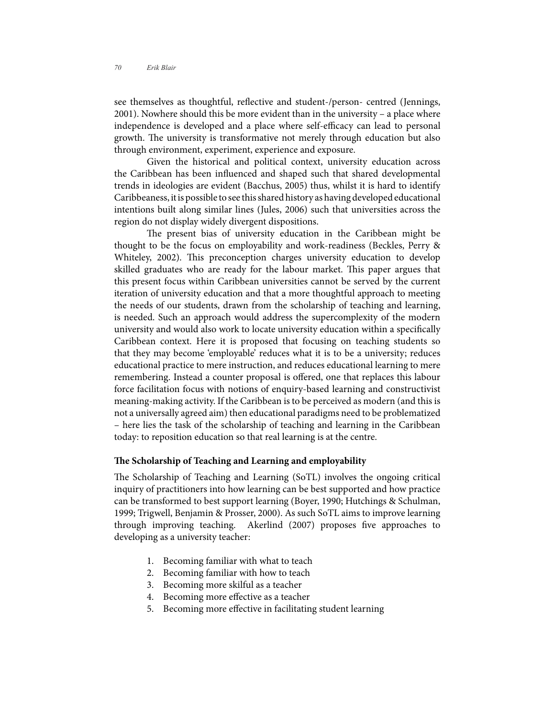see themselves as thoughtful, reflective and student-/person- centred (Jennings, 2001). Nowhere should this be more evident than in the university – a place where independence is developed and a place where self-efficacy can lead to personal growth. The university is transformative not merely through education but also through environment, experiment, experience and exposure.

Given the historical and political context, university education across the Caribbean has been influenced and shaped such that shared developmental trends in ideologies are evident (Bacchus, 2005) thus, whilst it is hard to identify Caribbeaness, it is possible to see this shared history as having developed educational intentions built along similar lines (Jules, 2006) such that universities across the region do not display widely divergent dispositions.

The present bias of university education in the Caribbean might be thought to be the focus on employability and work-readiness (Beckles, Perry & Whiteley, 2002). This preconception charges university education to develop skilled graduates who are ready for the labour market. This paper argues that this present focus within Caribbean universities cannot be served by the current iteration of university education and that a more thoughtful approach to meeting the needs of our students, drawn from the scholarship of teaching and learning, is needed. Such an approach would address the supercomplexity of the modern university and would also work to locate university education within a specifically Caribbean context. Here it is proposed that focusing on teaching students so that they may become 'employable' reduces what it is to be a university; reduces educational practice to mere instruction, and reduces educational learning to mere remembering. Instead a counter proposal is offered, one that replaces this labour force facilitation focus with notions of enquiry-based learning and constructivist meaning-making activity. If the Caribbean is to be perceived as modern (and this is not a universally agreed aim) then educational paradigms need to be problematized – here lies the task of the scholarship of teaching and learning in the Caribbean today: to reposition education so that real learning is at the centre.

#### **The Scholarship of Teaching and Learning and employability**

The Scholarship of Teaching and Learning (SoTL) involves the ongoing critical inquiry of practitioners into how learning can be best supported and how practice can be transformed to best support learning (Boyer, 1990; Hutchings & Schulman, 1999; Trigwell, Benjamin & Prosser, 2000). As such SoTL aims to improve learning through improving teaching. Akerlind (2007) proposes five approaches to developing as a university teacher:

- 1. Becoming familiar with what to teach
- 2. Becoming familiar with how to teach
- 3. Becoming more skilful as a teacher
- 4. Becoming more effective as a teacher
- 5. Becoming more effective in facilitating student learning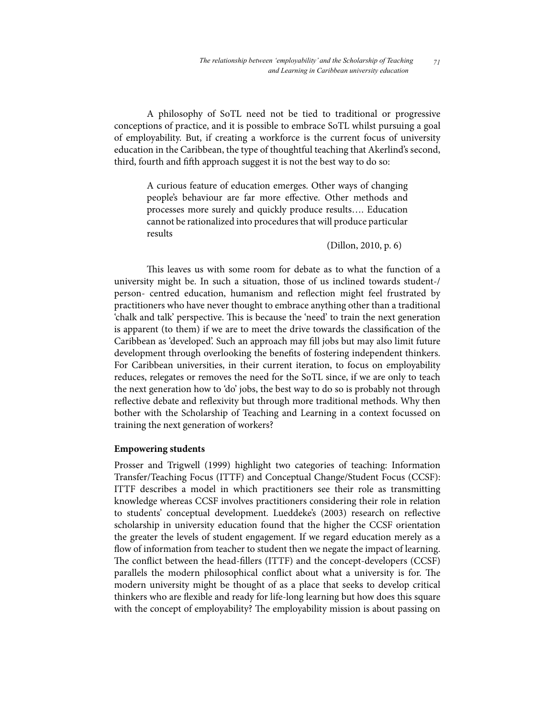A philosophy of SoTL need not be tied to traditional or progressive conceptions of practice, and it is possible to embrace SoTL whilst pursuing a goal of employability. But, if creating a workforce is the current focus of university education in the Caribbean, the type of thoughtful teaching that Akerlind's second, third, fourth and fifth approach suggest it is not the best way to do so:

A curious feature of education emerges. Other ways of changing people's behaviour are far more effective. Other methods and processes more surely and quickly produce results…. Education cannot be rationalized into procedures that will produce particular results

(Dillon, 2010, p. 6)

This leaves us with some room for debate as to what the function of a university might be. In such a situation, those of us inclined towards student-/ person- centred education, humanism and reflection might feel frustrated by practitioners who have never thought to embrace anything other than a traditional 'chalk and talk' perspective. This is because the 'need' to train the next generation is apparent (to them) if we are to meet the drive towards the classification of the Caribbean as 'developed'. Such an approach may fill jobs but may also limit future development through overlooking the benefits of fostering independent thinkers. For Caribbean universities, in their current iteration, to focus on employability reduces, relegates or removes the need for the SoTL since, if we are only to teach the next generation how to 'do' jobs, the best way to do so is probably not through reflective debate and reflexivity but through more traditional methods. Why then bother with the Scholarship of Teaching and Learning in a context focussed on training the next generation of workers?

## **Empowering students**

Prosser and Trigwell (1999) highlight two categories of teaching: Information Transfer/Teaching Focus (ITTF) and Conceptual Change/Student Focus (CCSF): ITTF describes a model in which practitioners see their role as transmitting knowledge whereas CCSF involves practitioners considering their role in relation to students' conceptual development. Lueddeke's (2003) research on reflective scholarship in university education found that the higher the CCSF orientation the greater the levels of student engagement. If we regard education merely as a flow of information from teacher to student then we negate the impact of learning. The conflict between the head-fillers (ITTF) and the concept-developers (CCSF) parallels the modern philosophical conflict about what a university is for. The modern university might be thought of as a place that seeks to develop critical thinkers who are flexible and ready for life-long learning but how does this square with the concept of employability? The employability mission is about passing on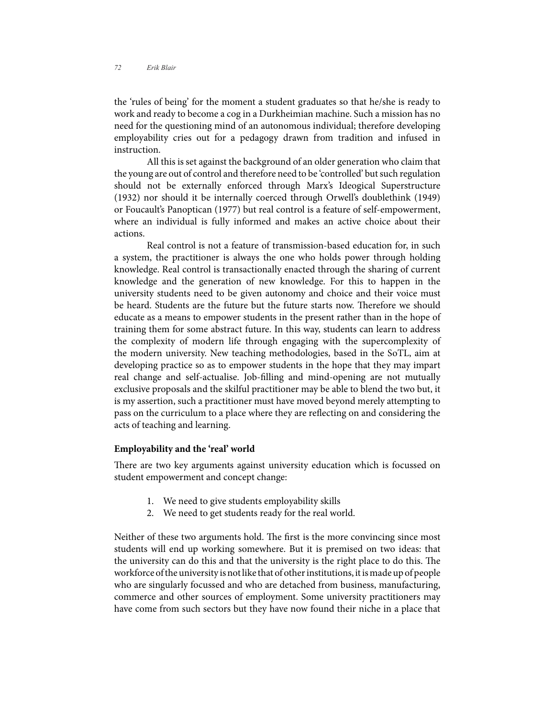the 'rules of being' for the moment a student graduates so that he/she is ready to work and ready to become a cog in a Durkheimian machine. Such a mission has no need for the questioning mind of an autonomous individual; therefore developing employability cries out for a pedagogy drawn from tradition and infused in instruction.

All this is set against the background of an older generation who claim that the young are out of control and therefore need to be 'controlled' but such regulation should not be externally enforced through Marx's Ideogical Superstructure (1932) nor should it be internally coerced through Orwell's doublethink (1949) or Foucault's Panoptican (1977) but real control is a feature of self-empowerment, where an individual is fully informed and makes an active choice about their actions.

Real control is not a feature of transmission-based education for, in such a system, the practitioner is always the one who holds power through holding knowledge. Real control is transactionally enacted through the sharing of current knowledge and the generation of new knowledge. For this to happen in the university students need to be given autonomy and choice and their voice must be heard. Students are the future but the future starts now. Therefore we should educate as a means to empower students in the present rather than in the hope of training them for some abstract future. In this way, students can learn to address the complexity of modern life through engaging with the supercomplexity of the modern university. New teaching methodologies, based in the SoTL, aim at developing practice so as to empower students in the hope that they may impart real change and self-actualise. Job-filling and mind-opening are not mutually exclusive proposals and the skilful practitioner may be able to blend the two but, it is my assertion, such a practitioner must have moved beyond merely attempting to pass on the curriculum to a place where they are reflecting on and considering the acts of teaching and learning.

#### **Employability and the 'real' world**

There are two key arguments against university education which is focussed on student empowerment and concept change:

- 1. We need to give students employability skills
- 2. We need to get students ready for the real world.

Neither of these two arguments hold. The first is the more convincing since most students will end up working somewhere. But it is premised on two ideas: that the university can do this and that the university is the right place to do this. The workforce of the university is not like that of other institutions, it is made up of people who are singularly focussed and who are detached from business, manufacturing, commerce and other sources of employment. Some university practitioners may have come from such sectors but they have now found their niche in a place that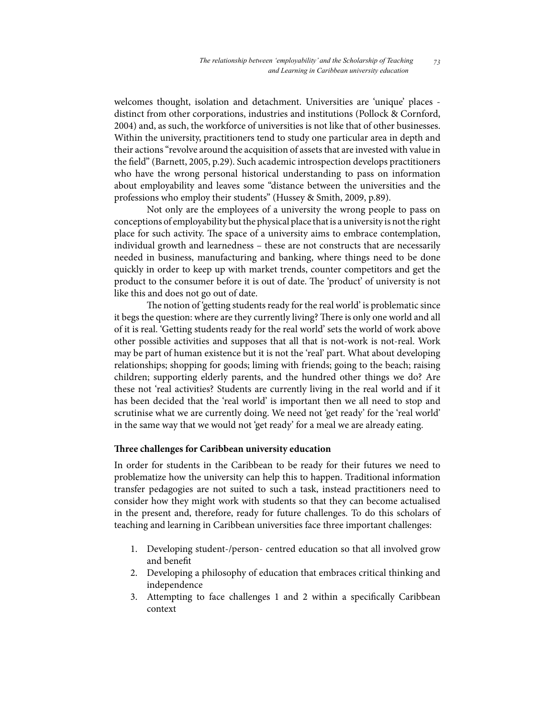welcomes thought, isolation and detachment. Universities are 'unique' places distinct from other corporations, industries and institutions (Pollock & Cornford, 2004) and, as such, the workforce of universities is not like that of other businesses. Within the university, practitioners tend to study one particular area in depth and their actions "revolve around the acquisition of assets that are invested with value in the field" (Barnett, 2005, p.29). Such academic introspection develops practitioners who have the wrong personal historical understanding to pass on information about employability and leaves some "distance between the universities and the professions who employ their students" (Hussey & Smith, 2009, p.89).

Not only are the employees of a university the wrong people to pass on conceptions of employability but the physical place that is a university is not the right place for such activity. The space of a university aims to embrace contemplation, individual growth and learnedness – these are not constructs that are necessarily needed in business, manufacturing and banking, where things need to be done quickly in order to keep up with market trends, counter competitors and get the product to the consumer before it is out of date. The 'product' of university is not like this and does not go out of date.

The notion of 'getting students ready for the real world' is problematic since it begs the question: where are they currently living? There is only one world and all of it is real. 'Getting students ready for the real world' sets the world of work above other possible activities and supposes that all that is not-work is not-real. Work may be part of human existence but it is not the 'real' part. What about developing relationships; shopping for goods; liming with friends; going to the beach; raising children; supporting elderly parents, and the hundred other things we do? Are these not 'real activities? Students are currently living in the real world and if it has been decided that the 'real world' is important then we all need to stop and scrutinise what we are currently doing. We need not 'get ready' for the 'real world' in the same way that we would not 'get ready' for a meal we are already eating.

# **Three challenges for Caribbean university education**

In order for students in the Caribbean to be ready for their futures we need to problematize how the university can help this to happen. Traditional information transfer pedagogies are not suited to such a task, instead practitioners need to consider how they might work with students so that they can become actualised in the present and, therefore, ready for future challenges. To do this scholars of teaching and learning in Caribbean universities face three important challenges:

- 1. Developing student-/person- centred education so that all involved grow and benefit
- 2. Developing a philosophy of education that embraces critical thinking and independence
- 3. Attempting to face challenges 1 and 2 within a specifically Caribbean context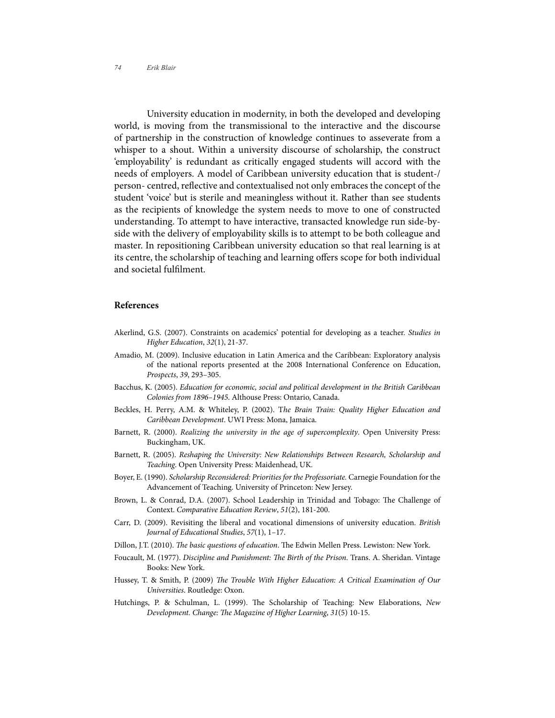University education in modernity, in both the developed and developing world, is moving from the transmissional to the interactive and the discourse of partnership in the construction of knowledge continues to asseverate from a whisper to a shout. Within a university discourse of scholarship, the construct 'employability' is redundant as critically engaged students will accord with the needs of employers. A model of Caribbean university education that is student-/ person- centred, reflective and contextualised not only embraces the concept of the student 'voice' but is sterile and meaningless without it. Rather than see students as the recipients of knowledge the system needs to move to one of constructed understanding. To attempt to have interactive, transacted knowledge run side-byside with the delivery of employability skills is to attempt to be both colleague and master. In repositioning Caribbean university education so that real learning is at its centre, the scholarship of teaching and learning offers scope for both individual and societal fulfilment.

#### **References**

- Akerlind, G.S. (2007). Constraints on academics' potential for developing as a teacher. *Studies in Higher Education*, *32*(1), 21-37.
- Amadio, M. (2009). Inclusive education in Latin America and the Caribbean: Exploratory analysis of the national reports presented at the 2008 International Conference on Education, *Prospects*, *39*, 293–305.
- Bacchus, K. (2005). *Education for economic, social and political development in the British Caribbean Colonies from 1896–1945*. Althouse Press: Ontario, Canada.
- Beckles, H. Perry, A.M. & Whiteley, P. (2002). T*he Brain Train: Quality Higher Education and Caribbean Development*. UWI Press: Mona, Jamaica.
- Barnett, R. (2000). *Realizing the university in the age of supercomplexity*. Open University Press: Buckingham, UK.
- Barnett, R. (2005). *Reshaping the University: New Relationships Between Research, Scholarship and Teaching*. Open University Press: Maidenhead, UK.
- Boyer, E. (1990). *Scholarship Reconsidered: Priorities for the Professoriate.* Carnegie Foundation for the Advancement of Teaching. University of Princeton: New Jersey.
- Brown, L. & Conrad, D.A. (2007). School Leadership in Trinidad and Tobago: The Challenge of Context. *Comparative Education Review*, *51*(2), 181-200.
- Carr, D. (2009). Revisiting the liberal and vocational dimensions of university education. *British Journal of Educational Studies*, *57*(1), 1–17.
- Dillon, J.T. (2010). *The basic questions of education*. The Edwin Mellen Press. Lewiston: New York.
- Foucault, M. (1977). *Discipline and Punishment: The Birth of the Prison*. Trans. A. Sheridan. Vintage Books: New York.
- Hussey, T. & Smith, P. (2009) *The Trouble With Higher Education: A Critical Examination of Our Universities*. Routledge: Oxon.
- Hutchings, P. & Schulman, L. (1999). The Scholarship of Teaching: New Elaborations, *New Development. Change: The Magazine of Higher Learning*, *31*(5) 10-15.